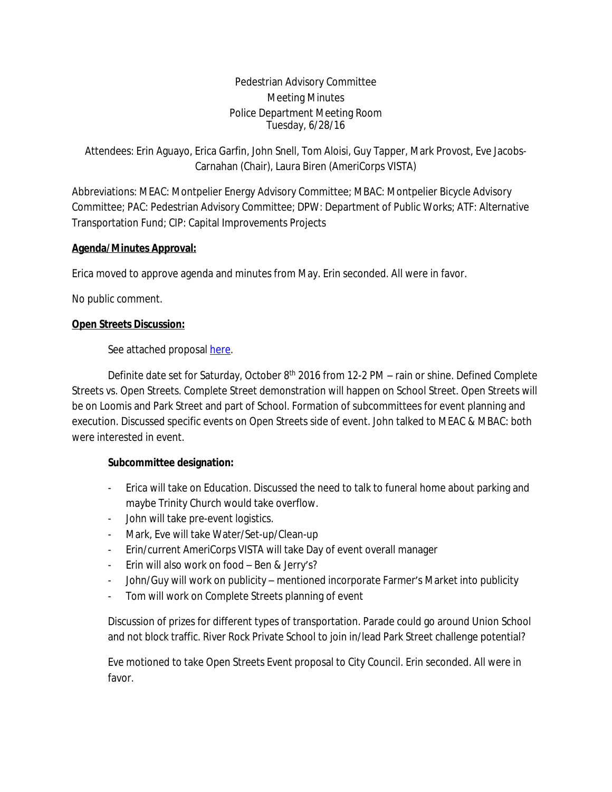Pedestrian Advisory Committee Meeting Minutes Police Department Meeting Room Tuesday, 6/28/16

Attendees: Erin Aguayo, Erica Garfin, John Snell, Tom Aloisi, Guy Tapper, Mark Provost, Eve Jacobs-Carnahan (Chair), Laura Biren (AmeriCorps VISTA)

Abbreviations: MEAC: Montpelier Energy Advisory Committee; MBAC: Montpelier Bicycle Advisory Committee; PAC: Pedestrian Advisory Committee; DPW: Department of Public Works; ATF: Alternative Transportation Fund; CIP: Capital Improvements Projects

# **Agenda/Minutes Approval:**

Erica moved to approve agenda and minutes from May. Erin seconded. All were in favor.

No public comment.

# **Open Streets Discussion:**

See attached proposal [here.](file:///I:\\VISTA\\Pedestrian%20Advisory%20Committee\\Events\\Open%20Streets%20event.docx)

Definite date set for Saturday, October 8<sup>th</sup> 2016 from 12-2 PM – rain or shine. Defined Complete Streets vs. Open Streets. Complete Street demonstration will happen on School Street. Open Streets will be on Loomis and Park Street and part of School. Formation of subcommittees for event planning and execution. Discussed specific events on Open Streets side of event. John talked to MEAC & MBAC: both were interested in event.

## **Subcommittee designation:**

- Erica will take on Education. Discussed the need to talk to funeral home about parking and maybe Trinity Church would take overflow.
- John will take pre-event logistics.
- Mark, Eve will take Water/Set-up/Clean-up
- Erin/current AmeriCorps VISTA will take Day of event overall manager
- Erin will also work on food Ben & Jerry's?
- John/Guy will work on publicity mentioned incorporate Farmer's Market into publicity
- Tom will work on Complete Streets planning of event

Discussion of prizes for different types of transportation. Parade could go around Union School and not block traffic. River Rock Private School to join in/lead Park Street challenge potential?

Eve motioned to take Open Streets Event proposal to City Council. Erin seconded. All were in favor.